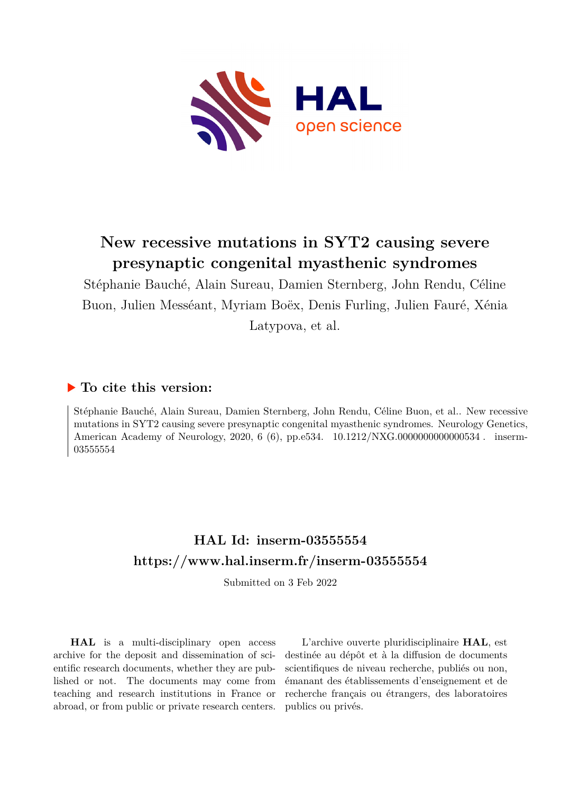

# **New recessive mutations in SYT2 causing severe presynaptic congenital myasthenic syndromes**

Stéphanie Bauché, Alain Sureau, Damien Sternberg, John Rendu, Céline Buon, Julien Messéant, Myriam Boëx, Denis Furling, Julien Fauré, Xénia Latypova, et al.

# **To cite this version:**

Stéphanie Bauché, Alain Sureau, Damien Sternberg, John Rendu, Céline Buon, et al.. New recessive mutations in SYT2 causing severe presynaptic congenital myasthenic syndromes. Neurology Genetics, American Academy of Neurology, 2020, 6 (6), pp.e534.  $10.1212/NXG.000000000000534$ . inserm-03555554ff

# **HAL Id: inserm-03555554 <https://www.hal.inserm.fr/inserm-03555554>**

Submitted on 3 Feb 2022

**HAL** is a multi-disciplinary open access archive for the deposit and dissemination of scientific research documents, whether they are published or not. The documents may come from teaching and research institutions in France or abroad, or from public or private research centers.

L'archive ouverte pluridisciplinaire **HAL**, est destinée au dépôt et à la diffusion de documents scientifiques de niveau recherche, publiés ou non, émanant des établissements d'enseignement et de recherche français ou étrangers, des laboratoires publics ou privés.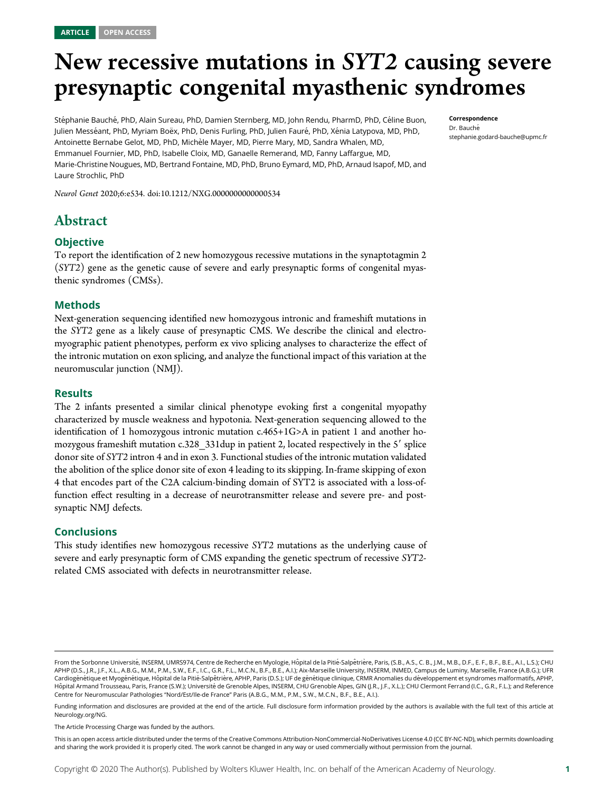# New recessive mutations in SYT2 causing severe presynaptic congenital myasthenic syndromes

Stéphanie Bauché, PhD, Alain Sureau, PhD, Damien Sternberg, MD, John Rendu, PharmD, PhD, Céline Buon, Julien Messéant, PhD, Myriam Boëx, PhD, Denis Furling, PhD, Julien Fauré, PhD, Xénia Latypova, MD, PhD, Antoinette Bernabe Gelot, MD, PhD, Michèle Mayer, MD, Pierre Mary, MD, Sandra Whalen, MD, Emmanuel Fournier, MD, PhD, Isabelle Cloix, MD, Ganaelle Remerand, MD, Fanny Laffargue, MD, Marie-Christine Nougues, MD, Bertrand Fontaine, MD, PhD, Bruno Eymard, MD, PhD, Arnaud Isapof, MD, and Laure Strochlic, PhD

Neurol Genet 2020;6:e534. doi:[10.1212/NXG.0000000000000534](http://dx.doi.org/10.1212/NXG.0000000000000534)

# Abstract

#### **Objective**

To report the identification of 2 new homozygous recessive mutations in the synaptotagmin 2 (SYT2) gene as the genetic cause of severe and early presynaptic forms of congenital myasthenic syndromes (CMSs).

#### Methods

Next-generation sequencing identified new homozygous intronic and frameshift mutations in the SYT2 gene as a likely cause of presynaptic CMS. We describe the clinical and electromyographic patient phenotypes, perform ex vivo splicing analyses to characterize the effect of the intronic mutation on exon splicing, and analyze the functional impact of this variation at the neuromuscular junction (NMJ).

#### **Results**

The 2 infants presented a similar clinical phenotype evoking first a congenital myopathy characterized by muscle weakness and hypotonia. Next-generation sequencing allowed to the identification of 1 homozygous intronic mutation c.465+1G>A in patient 1 and another homozygous frameshift mutation c.328 331dup in patient 2, located respectively in the 5' splice donor site of SYT2 intron 4 and in exon 3. Functional studies of the intronic mutation validated the abolition of the splice donor site of exon 4 leading to its skipping. In-frame skipping of exon 4 that encodes part of the C2A calcium-binding domain of SYT2 is associated with a loss-offunction effect resulting in a decrease of neurotransmitter release and severe pre- and postsynaptic NMJ defects.

#### Conclusions

This study identifies new homozygous recessive SYT2 mutations as the underlying cause of severe and early presynaptic form of CMS expanding the genetic spectrum of recessive SYT2 related CMS associated with defects in neurotransmitter release.

From the Sorbonne Université, INSERM, UMRS974, Centre de Recherche en Myologie, Hôpital de la Pitié-Salpêtrière, Paris, (S.B., A.S., C.B., J.M., M.B., D.F., E. F., B.F., B.F., A.I., L.S.); CHU APHP (D.S., J.R., J.F., X.L., A.B.G., M.M., P.M., S.W., E.F., I.C., G.R., F.L., M.C.N., B.F., B.E., A.I.); Aix-Marseille University, INSERM, INMED, Campus de Luminy, Marseille, France (A.B.G.); UFR Cardiogénétique et Myogénétique, Hôpital de la Pitié-Salpêtrière, APHP, Paris (D.S.); UF de génétique clinique, CRMR Anomalies du développement et syndromes malformatifs, APHP, Hôpital Armand Trousseau, Paris, France (S.W.); Université de Grenoble Alpes, INSERM, CHU Grenoble Alpes, GIN (J.R., J.F., X.L.); CHU Clermont Ferrand (I.C., G.R., F.L.); and Reference Centre for Neuromuscular Pathologies "Nord/Est/Ile-de France" Paris (A.B.G., M.M., P.M., S.W., M.C.N., B.F., B.E., A.I.).

Funding information and disclosures are provided at the end of the article. Full disclosure form information provided by the authors is available with the full text of this article at [Neurology.org/NG](http://ng.neurology.org/lookup/doi/10.1212/NXG.0000000000000534).

The Article Processing Charge was funded by the authors.

This is an open access article distributed under the terms of the [Creative Commons Attribution-NonCommercial-NoDerivatives License 4.0 \(CC BY-NC-ND\),](http://creativecommons.org/licenses/by-nc-nd/4.0/) which permits downloading and sharing the work provided it is properly cited. The work cannot be changed in any way or used commercially without permission from the journal.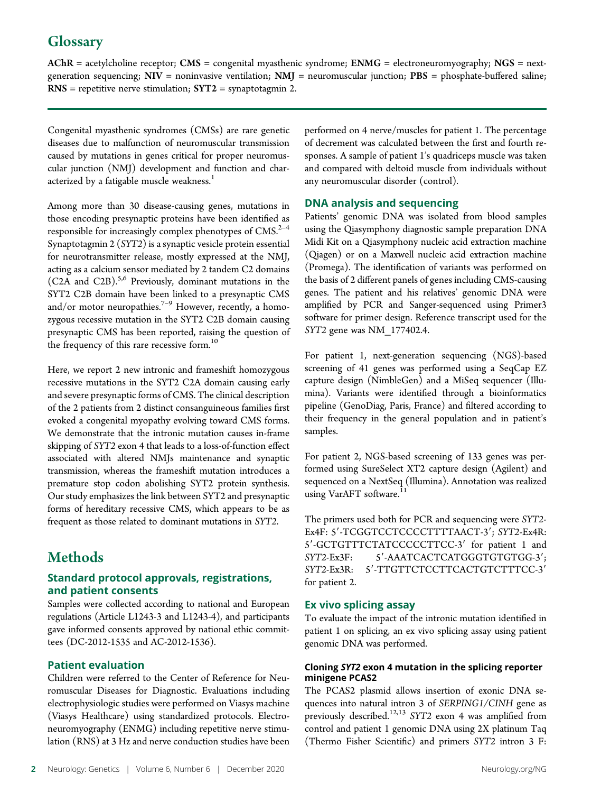# **Glossary**

 $AChR = acetylcholine receptor; CMS = congenital myasthenic syndrome; EMMG = electromography; NGS = next$ generation sequencing;  $NIV =$  noninvasive ventilation;  $NMJ =$  neuromuscular junction;  $PBS =$  phosphate-buffered saline;  $RNS =$  repetitive nerve stimulation;  $SYT2 =$  synaptotagmin 2.

Congenital myasthenic syndromes (CMSs) are rare genetic diseases due to malfunction of neuromuscular transmission caused by mutations in genes critical for proper neuromuscular junction (NMJ) development and function and characterized by a fatigable muscle weakness.<sup>1</sup>

Among more than 30 disease-causing genes, mutations in those encoding presynaptic proteins have been identified as responsible for increasingly complex phenotypes of  $CMS^{2-4}$ Synaptotagmin 2 (SYT2) is a synaptic vesicle protein essential for neurotransmitter release, mostly expressed at the NMJ, acting as a calcium sensor mediated by 2 tandem C2 domains (C2A and C2B). $5,6$  Previously, dominant mutations in the SYT2 C2B domain have been linked to a presynaptic CMS and/or motor neuropathies.<sup>7-9</sup> However, recently, a homozygous recessive mutation in the SYT2 C2B domain causing presynaptic CMS has been reported, raising the question of the frequency of this rare recessive form.<sup>10</sup>

Here, we report 2 new intronic and frameshift homozygous recessive mutations in the SYT2 C2A domain causing early and severe presynaptic forms of CMS. The clinical description of the 2 patients from 2 distinct consanguineous families first evoked a congenital myopathy evolving toward CMS forms. We demonstrate that the intronic mutation causes in-frame skipping of SYT2 exon 4 that leads to a loss-of-function effect associated with altered NMJs maintenance and synaptic transmission, whereas the frameshift mutation introduces a premature stop codon abolishing SYT2 protein synthesis. Our study emphasizes the link between SYT2 and presynaptic forms of hereditary recessive CMS, which appears to be as frequent as those related to dominant mutations in SYT2.

# **Methods**

#### Standard protocol approvals, registrations, and patient consents

Samples were collected according to national and European regulations (Article L1243-3 and L1243-4), and participants gave informed consents approved by national ethic committees (DC-2012-1535 and AC-2012-1536).

#### Patient evaluation

Children were referred to the Center of Reference for Neuromuscular Diseases for Diagnostic. Evaluations including electrophysiologic studies were performed on Viasys machine (Viasys Healthcare) using standardized protocols. Electroneuromyography (ENMG) including repetitive nerve stimulation (RNS) at 3 Hz and nerve conduction studies have been

performed on 4 nerve/muscles for patient 1. The percentage of decrement was calculated between the first and fourth responses. A sample of patient 1's quadriceps muscle was taken and compared with deltoid muscle from individuals without any neuromuscular disorder (control).

#### DNA analysis and sequencing

Patients' genomic DNA was isolated from blood samples using the Qiasymphony diagnostic sample preparation DNA Midi Kit on a Qiasymphony nucleic acid extraction machine (Qiagen) or on a Maxwell nucleic acid extraction machine (Promega). The identification of variants was performed on the basis of 2 different panels of genes including CMS-causing genes. The patient and his relatives' genomic DNA were amplified by PCR and Sanger-sequenced using Primer3 software for primer design. Reference transcript used for the SYT2 gene was NM\_177402.4.

For patient 1, next-generation sequencing (NGS)-based screening of 41 genes was performed using a SeqCap EZ capture design (NimbleGen) and a MiSeq sequencer (Illumina). Variants were identified through a bioinformatics pipeline (GenoDiag, Paris, France) and filtered according to their frequency in the general population and in patient's samples.

For patient 2, NGS-based screening of 133 genes was performed using SureSelect XT2 capture design (Agilent) and sequenced on a NextSeq (Illumina). Annotation was realized using VarAFT software.<sup>11</sup>

The primers used both for PCR and sequencing were SYT2- Ex4F: 5'-TCGGTCCTCCCCTTTTAACT-3'; SYT2-Ex4R: 5'-GCTGTTTCTATCCCCCTTCC-3' for patient 1 and SYT2-Ex3F: 5'-AAATCACTCATGGGTGTGTGG-3';<br>SYT2-Ex3R: 5'-TTGTTCTCCTTCACTGTCTTTCC-3' S'-TTGTTCTCCTTCACTGTCTTTCC-3' for patient 2.

#### Ex vivo splicing assay

To evaluate the impact of the intronic mutation identified in patient 1 on splicing, an ex vivo splicing assay using patient genomic DNA was performed.

#### Cloning SYT2 exon 4 mutation in the splicing reporter minigene PCAS2

The PCAS2 plasmid allows insertion of exonic DNA sequences into natural intron 3 of SERPING1/CINH gene as previously described.<sup>12,13</sup> SYT2 exon 4 was amplified from control and patient 1 genomic DNA using 2X platinum Taq (Thermo Fisher Scientific) and primers SYT2 intron 3 F: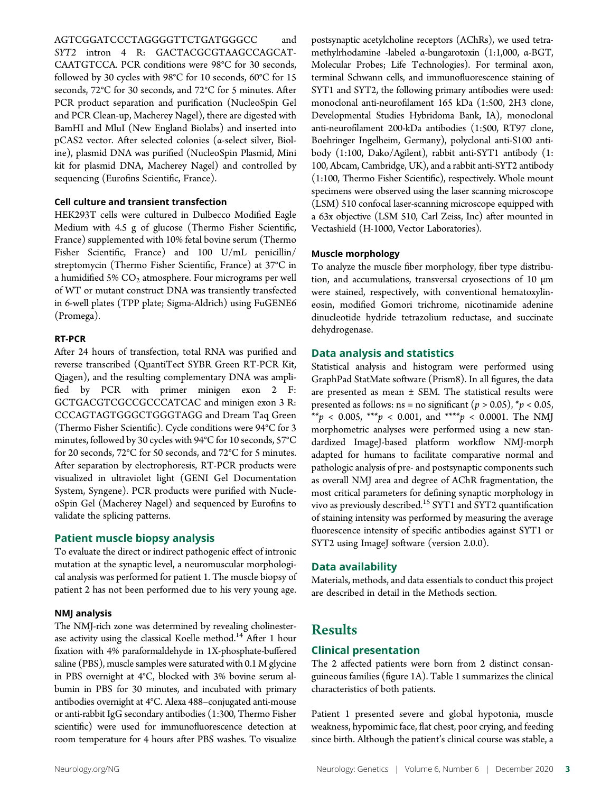AGTCGGATCCCTAGGGGTTCTGATGGGCC and SYT2 intron 4 R: GACTACGCGTAAGCCAGCAT-CAATGTCCA. PCR conditions were 98°C for 30 seconds, followed by 30 cycles with 98°C for 10 seconds, 60°C for 15 seconds, 72°C for 30 seconds, and 72°C for 5 minutes. After PCR product separation and purification (NucleoSpin Gel and PCR Clean-up, Macherey Nagel), there are digested with BamHI and MluI (New England Biolabs) and inserted into pCAS2 vector. After selected colonies (α-select silver, Bioline), plasmid DNA was purified (NucleoSpin Plasmid, Mini kit for plasmid DNA, Macherey Nagel) and controlled by sequencing (Eurofins Scientific, France).

#### Cell culture and transient transfection

HEK293T cells were cultured in Dulbecco Modified Eagle Medium with 4.5 g of glucose (Thermo Fisher Scientific, France) supplemented with 10% fetal bovine serum (Thermo Fisher Scientific, France) and 100 U/mL penicillin/ streptomycin (Thermo Fisher Scientific, France) at 37°C in a humidified 5%  $CO<sub>2</sub>$  atmosphere. Four micrograms per well of WT or mutant construct DNA was transiently transfected in 6-well plates (TPP plate; Sigma-Aldrich) using FuGENE6 (Promega).

#### RT-PCR

After 24 hours of transfection, total RNA was purified and reverse transcribed (QuantiTect SYBR Green RT-PCR Kit, Qiagen), and the resulting complementary DNA was amplified by PCR with primer minigen exon 2 F: GCTGACGTCGCCGCCCATCAC and minigen exon 3 R: CCCAGTAGTGGGCTGGGTAGG and Dream Taq Green (Thermo Fisher Scientific). Cycle conditions were 94°C for 3 minutes, followed by 30 cycles with 94°C for 10 seconds, 57°C for 20 seconds, 72°C for 50 seconds, and 72°C for 5 minutes. After separation by electrophoresis, RT-PCR products were visualized in ultraviolet light (GENI Gel Documentation System, Syngene). PCR products were purified with NucleoSpin Gel (Macherey Nagel) and sequenced by Eurofins to validate the splicing patterns.

#### Patient muscle biopsy analysis

To evaluate the direct or indirect pathogenic effect of intronic mutation at the synaptic level, a neuromuscular morphological analysis was performed for patient 1. The muscle biopsy of patient 2 has not been performed due to his very young age.

#### NMJ analysis

The NMJ-rich zone was determined by revealing cholinesterase activity using the classical Koelle method.<sup>14</sup> After 1 hour fixation with 4% paraformaldehyde in 1X-phosphate-buffered saline (PBS), muscle samples were saturated with 0.1 M glycine in PBS overnight at 4°C, blocked with 3% bovine serum albumin in PBS for 30 minutes, and incubated with primary antibodies overnight at 4°C. Alexa 488–conjugated anti-mouse or anti-rabbit IgG secondary antibodies (1:300, Thermo Fisher scientific) were used for immunofluorescence detection at room temperature for 4 hours after PBS washes. To visualize

postsynaptic acetylcholine receptors (AChRs), we used tetramethylrhodamine -labeled α-bungarotoxin (1:1,000, α-BGT, Molecular Probes; Life Technologies). For terminal axon, terminal Schwann cells, and immunofluorescence staining of SYT1 and SYT2, the following primary antibodies were used: monoclonal anti-neurofilament 165 kDa (1:500, 2H3 clone, Developmental Studies Hybridoma Bank, IA), monoclonal anti-neurofilament 200-kDa antibodies (1:500, RT97 clone, Boehringer Ingelheim, Germany), polyclonal anti-S100 antibody (1:100, Dako/Agilent), rabbit anti-SYT1 antibody (1: 100, Abcam, Cambridge, UK), and a rabbit anti-SYT2 antibody (1:100, Thermo Fisher Scientific), respectively. Whole mount specimens were observed using the laser scanning microscope (LSM) 510 confocal laser-scanning microscope equipped with a 63x objective (LSM 510, Carl Zeiss, Inc) after mounted in Vectashield (H-1000, Vector Laboratories).

#### Muscle morphology

To analyze the muscle fiber morphology, fiber type distribution, and accumulations, transversal cryosections of 10 μm were stained, respectively, with conventional hematoxylineosin, modified Gomori trichrome, nicotinamide adenine dinucleotide hydride tetrazolium reductase, and succinate dehydrogenase.

#### Data analysis and statistics

Statistical analysis and histogram were performed using GraphPad StatMate software (Prism8). In all figures, the data are presented as mean  $\pm$  SEM. The statistical results were presented as follows: ns = no significant ( $p > 0.05$ ),  $\gamma p < 0.05$ ,  $x^*$   $p$  < 0.005, \*\*\*  $p$  < 0.001, and \*\*\*\*  $p$  < 0.0001. The NMJ morphometric analyses were performed using a new standardized ImageJ-based platform workflow NMJ-morph adapted for humans to facilitate comparative normal and pathologic analysis of pre- and postsynaptic components such as overall NMJ area and degree of AChR fragmentation, the most critical parameters for defining synaptic morphology in vivo as previously described.<sup>15</sup> SYT1 and SYT2 quantification of staining intensity was performed by measuring the average fluorescence intensity of specific antibodies against SYT1 or SYT2 using ImageJ software (version 2.0.0).

#### Data availability

Materials, methods, and data essentials to conduct this project are described in detail in the Methods section.

### Results

#### Clinical presentation

The 2 affected patients were born from 2 distinct consanguineous families (figure 1A). Table 1 summarizes the clinical characteristics of both patients.

Patient 1 presented severe and global hypotonia, muscle weakness, hypomimic face, flat chest, poor crying, and feeding since birth. Although the patient's clinical course was stable, a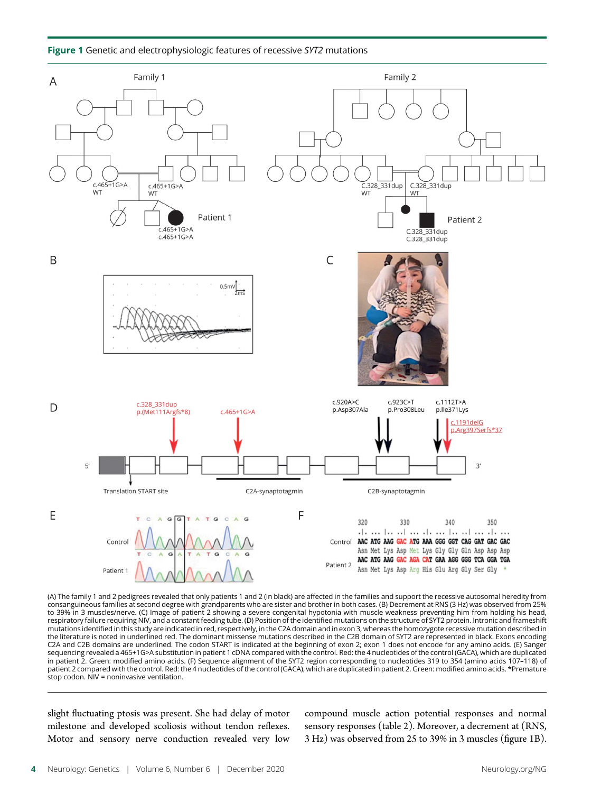Figure 1 Genetic and electrophysiologic features of recessive SYT2 mutations



(A) The family 1 and 2 pedigrees revealed that only patients 1 and 2 (in black) are affected in the families and support the recessive autosomal heredity from consanguineous families at second degree with grandparents who are sister and brother in both cases. (B) Decrement at RNS (3 Hz) was observed from 25% to 39% in 3 muscles/nerve. (C) Image of patient 2 showing a severe congenital hypotonia with muscle weakness preventing him from holding his head, respiratory failure requiring NIV, and a constant feeding tube. (D) Position of the identified mutations on the structure of SYT2 protein. Intronic and frameshift mutations identified in this study are indicated in red, respectively, in the C2A domain and in exon 3, whereas the homozygote recessive mutation described in the literature is noted in underlined red. The dominant missense mutations described in the C2B domain of SYT2 are represented in black. Exons encoding C2A and C2B domains are underlined. The codon START is indicated at the beginning of exon 2; exon 1 does not encode for any amino acids. (E) Sanger sequencing revealed a 465+1G>A substitution in patient 1 cDNA compared with the control. Red: the 4 nucleotides of the control (GACA), which are duplicated in patient 2. Green: modified amino acids. (F) Sequence alignment of the SYT2 region corresponding to nucleotides 319 to 354 (amino acids 107–118) of patient 2 compared with the control. Red: the 4 nucleotides of the control (GACA), which are duplicated in patient 2. Green: modified amino acids. \*Premature stop codon. NIV = noninvasive ventilation.

slight fluctuating ptosis was present. She had delay of motor milestone and developed scoliosis without tendon reflexes. Motor and sensory nerve conduction revealed very low

compound muscle action potential responses and normal sensory responses (table 2). Moreover, a decrement at (RNS, 3 Hz) was observed from 25 to 39% in 3 muscles (figure 1B).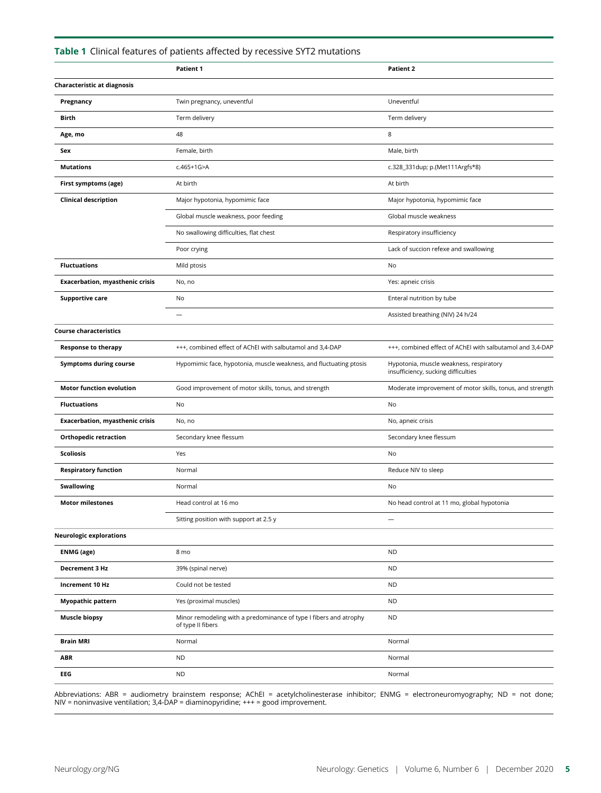|                                        | Patient 1                                                                              | <b>Patient 2</b>                                                               |
|----------------------------------------|----------------------------------------------------------------------------------------|--------------------------------------------------------------------------------|
| Characteristic at diagnosis            |                                                                                        |                                                                                |
| Pregnancy                              | Twin pregnancy, uneventful                                                             | Uneventful                                                                     |
| Birth                                  | Term delivery                                                                          | Term delivery                                                                  |
| Age, mo                                | 48                                                                                     | 8                                                                              |
| Sex                                    | Female, birth                                                                          | Male, birth                                                                    |
| <b>Mutations</b>                       | $c.465+1G > A$                                                                         | c.328_331dup; p.(Met111Argfs*8)                                                |
| First symptoms (age)                   | At birth                                                                               | At birth                                                                       |
| <b>Clinical description</b>            | Major hypotonia, hypomimic face                                                        | Major hypotonia, hypomimic face                                                |
|                                        | Global muscle weakness, poor feeding                                                   | Global muscle weakness                                                         |
|                                        | No swallowing difficulties, flat chest                                                 | Respiratory insufficiency                                                      |
|                                        | Poor crying                                                                            | Lack of succion refexe and swallowing                                          |
| <b>Fluctuations</b>                    | Mild ptosis                                                                            | No                                                                             |
| <b>Exacerbation, myasthenic crisis</b> | No, no                                                                                 | Yes: apneic crisis                                                             |
| <b>Supportive care</b>                 | No                                                                                     | Enteral nutrition by tube                                                      |
|                                        |                                                                                        | Assisted breathing (NIV) 24 h/24                                               |
| <b>Course characteristics</b>          |                                                                                        |                                                                                |
| <b>Response to therapy</b>             | +++, combined effect of AChEI with salbutamol and 3,4-DAP                              | +++, combined effect of AChEI with salbutamol and 3,4-DAP                      |
| <b>Symptoms during course</b>          | Hypomimic face, hypotonia, muscle weakness, and fluctuating ptosis                     | Hypotonia, muscle weakness, respiratory<br>insufficiency, sucking difficulties |
| <b>Motor function evolution</b>        | Good improvement of motor skills, tonus, and strength                                  | Moderate improvement of motor skills, tonus, and strength                      |
| <b>Fluctuations</b>                    | No                                                                                     | No                                                                             |
| <b>Exacerbation, myasthenic crisis</b> | No, no                                                                                 | No, apneic crisis                                                              |
| <b>Orthopedic retraction</b>           | Secondary knee flessum                                                                 | Secondary knee flessum                                                         |
| Scoliosis                              | Yes                                                                                    | No                                                                             |
| <b>Respiratory function</b>            | Normal                                                                                 | Reduce NIV to sleep                                                            |
| <b>Swallowing</b>                      | Normal                                                                                 | No                                                                             |
| <b>Motor milestones</b>                | Head control at 16 mo                                                                  | No head control at 11 mo, global hypotonia                                     |
|                                        | Sitting position with support at 2.5 y                                                 |                                                                                |
| <b>Neurologic explorations</b>         |                                                                                        |                                                                                |
| <b>ENMG</b> (age)                      | 8 mo                                                                                   | <b>ND</b>                                                                      |
| Decrement 3 Hz                         | 39% (spinal nerve)                                                                     | <b>ND</b>                                                                      |
| Increment 10 Hz                        | Could not be tested                                                                    | <b>ND</b>                                                                      |
| <b>Myopathic pattern</b>               | Yes (proximal muscles)                                                                 | <b>ND</b>                                                                      |
| <b>Muscle biopsy</b>                   | Minor remodeling with a predominance of type I fibers and atrophy<br>of type II fibers | <b>ND</b>                                                                      |
| <b>Brain MRI</b>                       | Normal                                                                                 | Normal                                                                         |
| <b>ABR</b>                             | <b>ND</b>                                                                              | Normal                                                                         |
| EEG                                    | <b>ND</b>                                                                              | Normal                                                                         |

#### Table 1 Clinical features of patients affected by recessive SYT2 mutations

Abbreviations: ABR = audiometry brainstem response; AChEI = acetylcholinesterase inhibitor; ENMG = electroneuromyography; ND = not done;<br>NIV = noninvasive ventilation; 3,4-DAP = diaminopyridine; +++ = good improvement.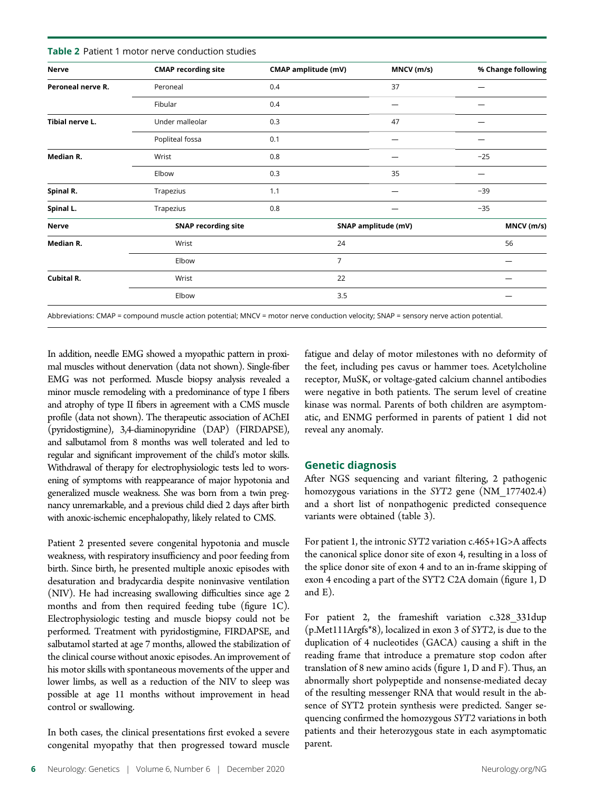| <b>CMAP recording site</b> | CMAP amplitude (mV) | MNCV (m/s) | % Change following  |
|----------------------------|---------------------|------------|---------------------|
| Peroneal                   | 0.4                 | 37         |                     |
| Fibular                    | 0.4                 |            |                     |
| Under malleolar            | 0.3                 | 47         |                     |
| Popliteal fossa            | 0.1                 |            |                     |
| Wrist                      | 0.8                 |            | $-25$               |
| Elbow                      | 0.3                 | 35         |                     |
| Trapezius                  | 1.1                 |            | $-39$               |
| Trapezius                  | 0.8                 |            | $-35$               |
| <b>SNAP recording site</b> |                     |            | MNCV (m/s)          |
| Wrist                      | 24                  |            | 56                  |
| Elbow                      | $\overline{7}$      |            |                     |
| Wrist                      | 22                  |            |                     |
| Elbow                      | 3.5                 |            |                     |
|                            |                     |            | SNAP amplitude (mV) |

Table 2 Patient 1 motor nerve conduction studies

Abbreviations: CMAP = compound muscle action potential; MNCV = motor nerve conduction velocity; SNAP = sensory nerve action potential.

In addition, needle EMG showed a myopathic pattern in proximal muscles without denervation (data not shown). Single-fiber EMG was not performed. Muscle biopsy analysis revealed a minor muscle remodeling with a predominance of type I fibers and atrophy of type II fibers in agreement with a CMS muscle profile (data not shown). The therapeutic association of AChEI (pyridostigmine), 3,4-diaminopyridine (DAP) (FIRDAPSE), and salbutamol from 8 months was well tolerated and led to regular and significant improvement of the child's motor skills. Withdrawal of therapy for electrophysiologic tests led to worsening of symptoms with reappearance of major hypotonia and generalized muscle weakness. She was born from a twin pregnancy unremarkable, and a previous child died 2 days after birth with anoxic-ischemic encephalopathy, likely related to CMS.

Patient 2 presented severe congenital hypotonia and muscle weakness, with respiratory insufficiency and poor feeding from birth. Since birth, he presented multiple anoxic episodes with desaturation and bradycardia despite noninvasive ventilation (NIV). He had increasing swallowing difficulties since age 2 months and from then required feeding tube (figure 1C). Electrophysiologic testing and muscle biopsy could not be performed. Treatment with pyridostigmine, FIRDAPSE, and salbutamol started at age 7 months, allowed the stabilization of the clinical course without anoxic episodes. An improvement of his motor skills with spontaneous movements of the upper and lower limbs, as well as a reduction of the NIV to sleep was possible at age 11 months without improvement in head control or swallowing.

In both cases, the clinical presentations first evoked a severe congenital myopathy that then progressed toward muscle fatigue and delay of motor milestones with no deformity of the feet, including pes cavus or hammer toes. Acetylcholine receptor, MuSK, or voltage-gated calcium channel antibodies were negative in both patients. The serum level of creatine kinase was normal. Parents of both children are asymptomatic, and ENMG performed in parents of patient 1 did not reveal any anomaly.

#### Genetic diagnosis

After NGS sequencing and variant filtering, 2 pathogenic homozygous variations in the SYT2 gene (NM\_177402.4) and a short list of nonpathogenic predicted consequence variants were obtained (table 3).

For patient 1, the intronic SYT2 variation c.465+1G>A affects the canonical splice donor site of exon 4, resulting in a loss of the splice donor site of exon 4 and to an in-frame skipping of exon 4 encoding a part of the SYT2 C2A domain (figure 1, D and E).

For patient 2, the frameshift variation c.328\_331dup (p.Met111Argfs\*8), localized in exon 3 of SYT2, is due to the duplication of 4 nucleotides (GACA) causing a shift in the reading frame that introduce a premature stop codon after translation of 8 new amino acids (figure 1, D and F). Thus, an abnormally short polypeptide and nonsense-mediated decay of the resulting messenger RNA that would result in the absence of SYT2 protein synthesis were predicted. Sanger sequencing confirmed the homozygous SYT2 variations in both patients and their heterozygous state in each asymptomatic parent.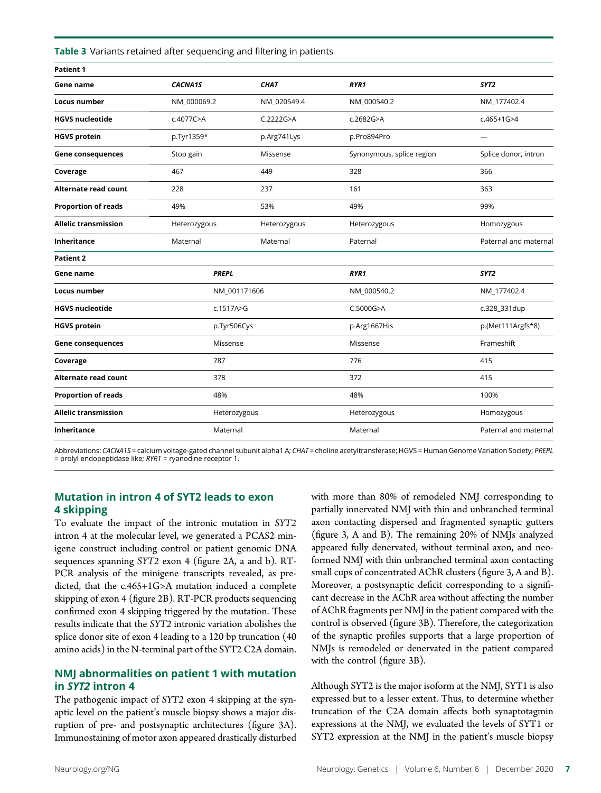Table 3 Variants retained after sequencing and filtering in patients

| Patient 1                   |                |              |                           |                       |
|-----------------------------|----------------|--------------|---------------------------|-----------------------|
| Gene name                   | <b>CACNA1S</b> | <b>CHAT</b>  | RYR1                      | SYT <sub>2</sub>      |
| <b>Locus number</b>         | NM_000069.2    | NM_020549.4  | NM_000540.2               | NM_177402.4           |
| <b>HGVS nucleotide</b>      | c.4077C>A      | C.2222G > A  | c.2682G>A                 | $c.465+1G>4$          |
| <b>HGVS protein</b>         | p.Tyr1359*     | p.Arg741Lys  | p.Pro894Pro               | -                     |
| <b>Gene consequences</b>    | Stop gain      | Missense     | Synonymous, splice region | Splice donor, intron  |
| Coverage                    | 467            | 449          | 328                       | 366                   |
| <b>Alternate read count</b> | 228            | 237          | 161                       | 363                   |
| <b>Proportion of reads</b>  | 49%            | 53%          | 49%                       | 99%                   |
| <b>Allelic transmission</b> | Heterozygous   | Heterozygous | Heterozygous              | Homozygous            |
| <b>Inheritance</b>          | Maternal       | Maternal     | Paternal                  | Paternal and maternal |
| <b>Patient 2</b>            |                |              |                           |                       |
| Gene name                   | <b>PREPL</b>   |              | RYR1                      | SYT <sub>2</sub>      |
| Locus number                | NM_001171606   |              | NM_000540.2               | NM_177402.4           |
| <b>HGVS nucleotide</b>      | c.1517A>G      |              | C.5000G>A                 | c.328_331dup          |
| <b>HGVS protein</b>         | p.Tyr506Cys    |              | p.Arg1667His              | p.(Met111Argfs*8)     |
| <b>Gene consequences</b>    | Missense       |              | Missense                  | Frameshift            |
| Coverage                    | 787            |              | 776                       | 415                   |
| <b>Alternate read count</b> | 378            |              | 372                       | 415                   |
| <b>Proportion of reads</b>  | 48%            |              | 48%                       | 100%                  |
| <b>Allelic transmission</b> | Heterozygous   |              | Heterozygous              | Homozygous            |
| Inheritance                 | Maternal       |              | Maternal                  | Paternal and maternal |

Abbreviations: CACNA1S = calcium voltage-gated channel subunit alpha1 A; CHAT = choline acetyltransferase; HGVS = Human Genome Variation Society; PREPL = prolyl endopeptidase like; RYR1 = ryanodine receptor 1.

#### Mutation in intron 4 of SYT2 leads to exon 4 skipping

To evaluate the impact of the intronic mutation in SYT2 intron 4 at the molecular level, we generated a PCAS2 minigene construct including control or patient genomic DNA sequences spanning SYT2 exon 4 (figure 2A, a and b). RT-PCR analysis of the minigene transcripts revealed, as predicted, that the c.465+1G>A mutation induced a complete skipping of exon 4 (figure 2B). RT-PCR products sequencing confirmed exon 4 skipping triggered by the mutation. These results indicate that the SYT2 intronic variation abolishes the splice donor site of exon 4 leading to a 120 bp truncation (40 amino acids) in the N-terminal part of the SYT2 C2A domain.

#### NMJ abnormalities on patient 1 with mutation in SYT2 intron 4

The pathogenic impact of SYT2 exon 4 skipping at the synaptic level on the patient's muscle biopsy shows a major disruption of pre- and postsynaptic architectures (figure 3A). Immunostaining of motor axon appeared drastically disturbed with more than 80% of remodeled NMJ corresponding to partially innervated NMJ with thin and unbranched terminal axon contacting dispersed and fragmented synaptic gutters (figure 3, A and B). The remaining 20% of NMJs analyzed appeared fully denervated, without terminal axon, and neoformed NMJ with thin unbranched terminal axon contacting small cups of concentrated AChR clusters (figure 3, A and B). Moreover, a postsynaptic deficit corresponding to a significant decrease in the AChR area without affecting the number of AChR fragments per NMJ in the patient compared with the control is observed (figure 3B). Therefore, the categorization of the synaptic profiles supports that a large proportion of NMJs is remodeled or denervated in the patient compared with the control (figure 3B).

Although SYT2 is the major isoform at the NMJ, SYT1 is also expressed but to a lesser extent. Thus, to determine whether truncation of the C2A domain affects both synaptotagmin expressions at the NMJ, we evaluated the levels of SYT1 or SYT2 expression at the NMJ in the patient's muscle biopsy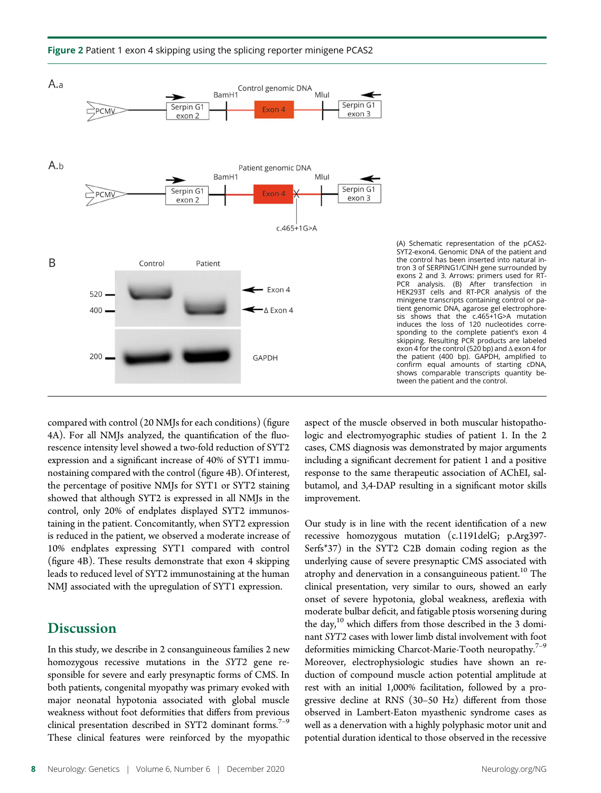

#### Figure 2 Patient 1 exon 4 skipping using the splicing reporter minigene PCAS2

compared with control (20 NMJs for each conditions) (figure 4A). For all NMJs analyzed, the quantification of the fluorescence intensity level showed a two-fold reduction of SYT2 expression and a significant increase of 40% of SYT1 immunostaining compared with the control (figure 4B). Of interest, the percentage of positive NMJs for SYT1 or SYT2 staining showed that although SYT2 is expressed in all NMJs in the control, only 20% of endplates displayed SYT2 immunostaining in the patient. Concomitantly, when SYT2 expression is reduced in the patient, we observed a moderate increase of 10% endplates expressing SYT1 compared with control (figure 4B). These results demonstrate that exon 4 skipping leads to reduced level of SYT2 immunostaining at the human NMJ associated with the upregulation of SYT1 expression.

## **Discussion**

In this study, we describe in 2 consanguineous families 2 new homozygous recessive mutations in the SYT2 gene responsible for severe and early presynaptic forms of CMS. In both patients, congenital myopathy was primary evoked with major neonatal hypotonia associated with global muscle weakness without foot deformities that differs from previous clinical presentation described in SYT2 dominant forms.<sup>7-9</sup> These clinical features were reinforced by the myopathic aspect of the muscle observed in both muscular histopathologic and electromyographic studies of patient 1. In the 2 cases, CMS diagnosis was demonstrated by major arguments including a significant decrement for patient 1 and a positive response to the same therapeutic association of AChEI, salbutamol, and 3,4-DAP resulting in a significant motor skills improvement.

Our study is in line with the recent identification of a new recessive homozygous mutation (c.1191delG; p.Arg397- Serfs\*37) in the SYT2 C2B domain coding region as the underlying cause of severe presynaptic CMS associated with atrophy and denervation in a consanguineous patient.<sup>10</sup> The clinical presentation, very similar to ours, showed an early onset of severe hypotonia, global weakness, areflexia with moderate bulbar deficit, and fatigable ptosis worsening during the day,<sup>10</sup> which differs from those described in the 3 dominant SYT2 cases with lower limb distal involvement with foot deformities mimicking Charcot-Marie-Tooth neuropathy.<sup>7-9</sup> Moreover, electrophysiologic studies have shown an reduction of compound muscle action potential amplitude at rest with an initial 1,000% facilitation, followed by a progressive decline at RNS (30–50 Hz) different from those observed in Lambert-Eaton myasthenic syndrome cases as well as a denervation with a highly polyphasic motor unit and potential duration identical to those observed in the recessive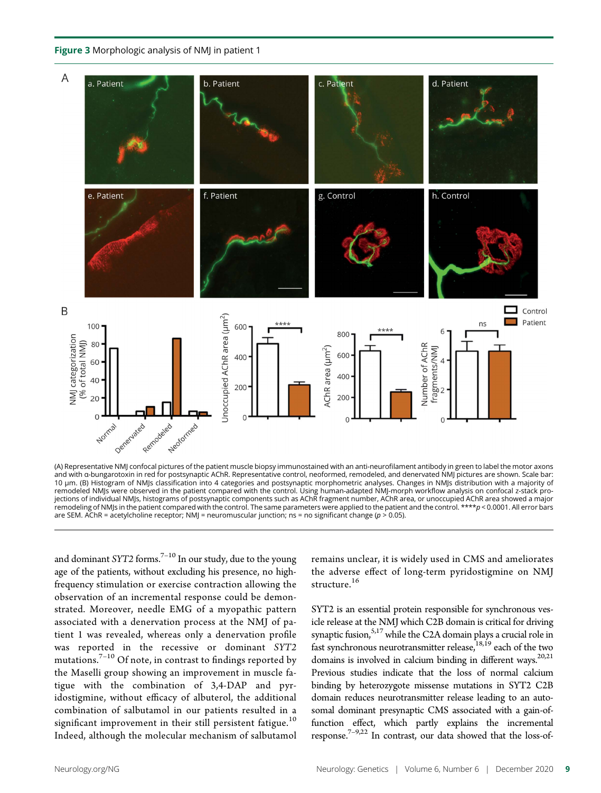Figure 3 Morphologic analysis of NMJ in patient 1



(A) Representative NMJ confocal pictures of the patient muscle biopsy immunostained with an anti-neurofilament antibody in green to label the motor axons and with α-bungarotoxin in red for postsynaptic AChR. Representative control, neoformed, remodeled, and denervated NMJ pictures are shown. Scale bar: 10 μm. (B) Histogram of NMJs classification into 4 categories and postsynaptic morphometric analyses. Changes in NMJs distribution with a majority of remodeled NMJs were observed in the patient compared with the control. Using human-adapted NMJ-morph workflow analysis on confocal z-stack projections of individual NMJs, histograms of postsynaptic components such as AChR fragment number, AChR area, or unoccupied AChR area showed a major remodeling of NMJs in the patient compared with the control. The same parameters were applied to the patient and the control. \*\*\*\*p < 0.0001. All error bars are SEM. AChR = acetylcholine receptor; NMJ = neuromuscular junction; ns = no significant change ( $p > 0.05$ ).

and dominant SYT2 forms.<sup>7-10</sup> In our study, due to the young age of the patients, without excluding his presence, no highfrequency stimulation or exercise contraction allowing the observation of an incremental response could be demonstrated. Moreover, needle EMG of a myopathic pattern associated with a denervation process at the NMJ of patient 1 was revealed, whereas only a denervation profile was reported in the recessive or dominant SYT2 mutations. $7-10$  Of note, in contrast to findings reported by the Maselli group showing an improvement in muscle fatigue with the combination of 3,4-DAP and pyridostigmine, without efficacy of albuterol, the additional combination of salbutamol in our patients resulted in a significant improvement in their still persistent fatigue.<sup>10</sup> Indeed, although the molecular mechanism of salbutamol

remains unclear, it is widely used in CMS and ameliorates the adverse effect of long-term pyridostigmine on NMJ structure.<sup>16</sup>

SYT2 is an essential protein responsible for synchronous vesicle release at the NMJ which C2B domain is critical for driving synaptic fusion,<sup>5,17</sup> while the C2A domain plays a crucial role in fast synchronous neurotransmitter release,  $18,19$  each of the two domains is involved in calcium binding in different ways. $20,21$ Previous studies indicate that the loss of normal calcium binding by heterozygote missense mutations in SYT2 C2B domain reduces neurotransmitter release leading to an autosomal dominant presynaptic CMS associated with a gain-offunction effect, which partly explains the incremental response.<sup>7–9,22</sup> In contrast, our data showed that the loss-of-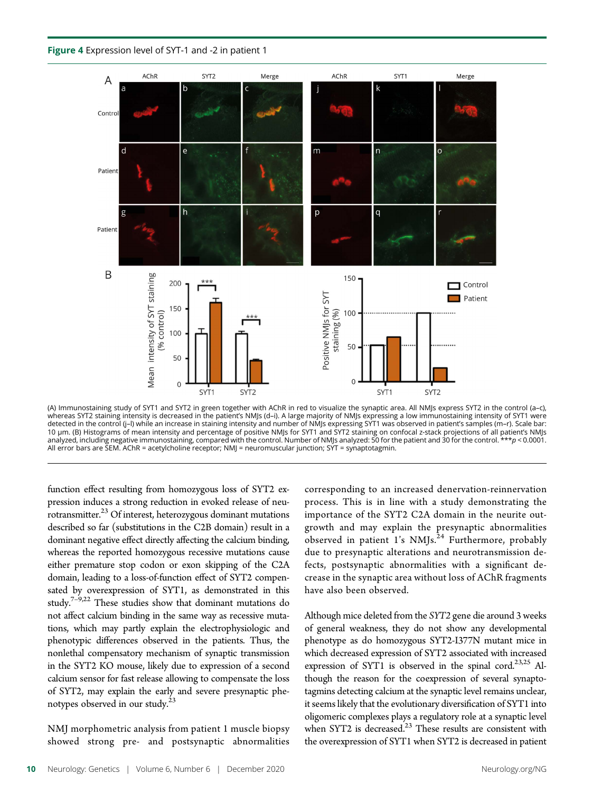



(A) Immunostaining study of SYT1 and SYT2 in green together with AChR in red to visualize the synaptic area. All NMJs express SYT2 in the control (a–c), whereas SYT2 staining intensity is decreased in the patient's NMJs (d–i). A large majority of NMJs expressing a low immunostaining intensity of SYT1 were detected in the control (j–l) while an increase in staining intensity and number of NMJs expressing SYT1 was observed in patient's samples (m–r). Scale bar:<br>10 μm. (B) Histograms of mean intensity and percentage of positi analyzed, including negative immunostaining, compared with the control. Number of NMJs analyzed: 50 for the patient and 30 for the control. \*\*\*p < 0.0001. All error bars are SEM. AChR = acetylcholine receptor; NMJ = neuromuscular junction; SYT = synaptotagmin.

function effect resulting from homozygous loss of SYT2 expression induces a strong reduction in evoked release of neu- $\frac{1}{2}$  rotransmitter.<sup>23</sup> Of interest, heterozygous dominant mutations described so far (substitutions in the C2B domain) result in a dominant negative effect directly affecting the calcium binding, whereas the reported homozygous recessive mutations cause either premature stop codon or exon skipping of the C2A domain, leading to a loss-of-function effect of SYT2 compensated by overexpression of SYT1, as demonstrated in this study.<sup>7–9,22</sup> These studies show that dominant mutations do not affect calcium binding in the same way as recessive mutations, which may partly explain the electrophysiologic and phenotypic differences observed in the patients. Thus, the nonlethal compensatory mechanism of synaptic transmission in the SYT2 KO mouse, likely due to expression of a second calcium sensor for fast release allowing to compensate the loss of SYT2, may explain the early and severe presynaptic phenotypes observed in our study.<sup>23</sup>

NMJ morphometric analysis from patient 1 muscle biopsy showed strong pre- and postsynaptic abnormalities corresponding to an increased denervation-reinnervation process. This is in line with a study demonstrating the importance of the SYT2 C2A domain in the neurite outgrowth and may explain the presynaptic abnormalities observed in patient 1's NMJs.<sup>24</sup> Furthermore, probably due to presynaptic alterations and neurotransmission defects, postsynaptic abnormalities with a significant decrease in the synaptic area without loss of AChR fragments have also been observed.

Although mice deleted from the SYT2 gene die around 3 weeks of general weakness, they do not show any developmental phenotype as do homozygous SYT2-I377N mutant mice in which decreased expression of SYT2 associated with increased expression of SYT1 is observed in the spinal cord.<sup>23,25</sup> Although the reason for the coexpression of several synaptotagmins detecting calcium at the synaptic level remains unclear, it seems likely that the evolutionary diversification of SYT1 into oligomeric complexes plays a regulatory role at a synaptic level when SYT2 is decreased. $^{23}$  These results are consistent with the overexpression of SYT1 when SYT2 is decreased in patient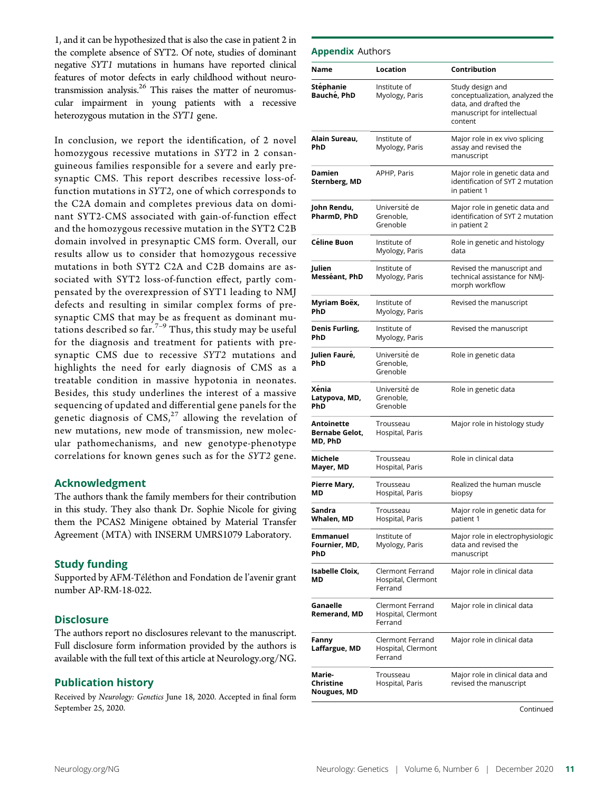1, and it can be hypothesized that is also the case in patient 2 in the complete absence of SYT2. Of note, studies of dominant negative SYT1 mutations in humans have reported clinical features of motor defects in early childhood without neurotransmission analysis.<sup>26</sup> This raises the matter of neuromuscular impairment in young patients with a recessive heterozygous mutation in the SYT1 gene.

In conclusion, we report the identification, of 2 novel homozygous recessive mutations in SYT2 in 2 consanguineous families responsible for a severe and early presynaptic CMS. This report describes recessive loss-offunction mutations in SYT2, one of which corresponds to the C2A domain and completes previous data on dominant SYT2-CMS associated with gain-of-function effect and the homozygous recessive mutation in the SYT2 C2B domain involved in presynaptic CMS form. Overall, our results allow us to consider that homozygous recessive mutations in both SYT2 C2A and C2B domains are associated with SYT2 loss-of-function effect, partly compensated by the overexpression of SYT1 leading to NMJ defects and resulting in similar complex forms of presynaptic CMS that may be as frequent as dominant mutations described so  $far<sup>7-9</sup>$  Thus, this study may be useful for the diagnosis and treatment for patients with presynaptic CMS due to recessive SYT2 mutations and highlights the need for early diagnosis of CMS as a treatable condition in massive hypotonia in neonates. Besides, this study underlines the interest of a massive sequencing of updated and differential gene panels for the genetic diagnosis of  $CMS<sup>27</sup>$  allowing the revelation of new mutations, new mode of transmission, new molecular pathomechanisms, and new genotype-phenotype correlations for known genes such as for the SYT2 gene.

#### Acknowledgment

The authors thank the family members for their contribution in this study. They also thank Dr. Sophie Nicole for giving them the PCAS2 Minigene obtained by Material Transfer Agreement (MTA) with INSERM UMRS1079 Laboratory.

#### Study funding

Supported by AFM-Téléthon and Fondation de l'avenir grant number AP-RM-18-022.

#### **Disclosure**

The authors report no disclosures relevant to the manuscript. Full disclosure form information provided by the authors is available with the full text of this article at [Neurology.org/NG.](http://ng.neurology.org/lookup/doi/10.1212/NXG.0000000000000534)

#### Publication history

Received by Neurology: Genetics June 18, 2020. Accepted in final form September 25, 2020.

#### **Appendix Authors**

| Name                                    | Location                                          | Contribution                                                                                                           |
|-----------------------------------------|---------------------------------------------------|------------------------------------------------------------------------------------------------------------------------|
| Stéphanie<br>Bauché, PhD                | Institute of<br>Myology, Paris                    | Study design and<br>conceptualization, analyzed the<br>data, and drafted the<br>manuscript for intellectual<br>content |
| Alain Sureau,<br>PhD                    | Institute of<br>Myology, Paris                    | Major role in ex vivo splicing<br>assay and revised the<br>manuscript                                                  |
| Damien<br>Sternberg, MD                 | APHP, Paris                                       | Major role in genetic data and<br>identification of SYT 2 mutation<br>in patient 1                                     |
| John Rendu,<br>PharmD, PhD              | Université de<br>Grenoble,<br>Grenoble            | Major role in genetic data and<br>identification of SYT 2 mutation<br>in patient 2                                     |
| Céline Buon                             | Institute of<br>Myology, Paris                    | Role in genetic and histology<br>data                                                                                  |
| Julien<br>Messéant, PhD                 | Institute of<br>Myology, Paris                    | Revised the manuscript and<br>technical assistance for NMJ-<br>morph workflow                                          |
| Myriam Boëx,<br>PhD                     | Institute of<br>Myology, Paris                    | Revised the manuscript                                                                                                 |
| Denis Furling,<br>PhD                   | Institute of<br>Myology, Paris                    | Revised the manuscript                                                                                                 |
| Julien Fauré,<br>PhD                    | Université de<br>Grenoble,<br>Grenoble            | Role in genetic data                                                                                                   |
| Xénia<br>Latypova, MD,<br>PhD           | Université de<br>Grenoble,<br>Grenoble            | Role in genetic data                                                                                                   |
| Antoinette<br>Bernabe Gelot,<br>MD, PhD | Trousseau<br>Hospital, Paris                      | Major role in histology study                                                                                          |
| Michele<br>Mayer, MD                    | Trousseau<br>Hospital, Paris                      | Role in clinical data                                                                                                  |
| Pierre Mary,<br>ΜD                      | Trousseau<br>Hospital, Paris                      | Realized the human muscle<br>biopsy                                                                                    |
| Sandra<br>Whalen, MD                    | Trousseau<br>Hospital, Paris                      | Major role in genetic data for<br>patient 1                                                                            |
| <b>Emmanuel</b><br>Fournier, MD,<br>PhD | Institute of<br>Myology, Paris                    | Major role in electrophysiologic<br>data and revised the<br>manuscript                                                 |
| <b>Isabelle Cloix,</b><br>МD            | Clermont Ferrand<br>Hospital, Clermont<br>Ferrand | Major role in clinical data                                                                                            |
| Ganaelle<br>Remerand, MD                | Clermont Ferrand<br>Hospital, Clermont<br>Ferrand | Major role in clinical data                                                                                            |
| Fanny<br>Laffargue, MD                  | Clermont Ferrand<br>Hospital, Clermont<br>Ferrand | Major role in clinical data                                                                                            |
| Marie-<br>Christine<br>Nougues, MD      | Trousseau<br>Hospital, Paris                      | Major role in clinical data and<br>revised the manuscript                                                              |

Continued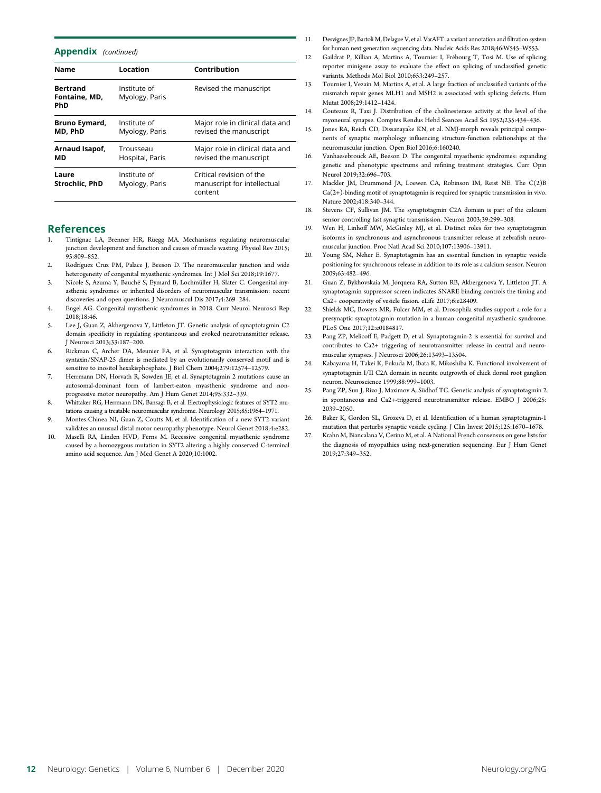#### Appendix (continued)

| <b>Name</b>                             | Location                       | Contribution                                                       |
|-----------------------------------------|--------------------------------|--------------------------------------------------------------------|
| <b>Bertrand</b><br>Fontaine, MD,<br>PhD | Institute of<br>Myology, Paris | Revised the manuscript                                             |
| Bruno Eymard,<br>MD, PhD                | Institute of<br>Myology, Paris | Major role in clinical data and<br>revised the manuscript          |
| Arnaud Isapof,<br>МD                    | Trousseau<br>Hospital, Paris   | Major role in clinical data and<br>revised the manuscript          |
| Laure<br>Strochlic, PhD                 | Institute of<br>Myology, Paris | Critical revision of the<br>manuscript for intellectual<br>content |

#### References

- Tintignac LA, Brenner HR, Rüegg MA. Mechanisms regulating neuromuscular junction development and function and causes of muscle wasting. Physiol Rev 2015; 95:809–852.
- 2. Rodríguez Cruz PM, Palace J, Beeson D. The neuromuscular junction and wide heterogeneity of congenital myasthenic syndromes. Int J Mol Sci 2018;19:1677.
- 3. Nicole S, Azuma Y, Bauché S, Eymard B, Lochmüller H, Slater C. Congenital myasthenic syndromes or inherited disorders of neuromuscular transmission: recent discoveries and open questions. J Neuromuscul Dis 2017;4:269–284.
- 4. Engel AG. Congenital myasthenic syndromes in 2018. Curr Neurol Neurosci Rep 2018;18:46.
- 5. Lee J, Guan Z, Akbergenova Y, Littleton JT. Genetic analysis of synaptotagmin C2 domain specificity in regulating spontaneous and evoked neurotransmitter release. J Neurosci 2013;33:187–200.
- 6. Rickman C, Archer DA, Meunier FA, et al. Synaptotagmin interaction with the syntaxin/SNAP-25 dimer is mediated by an evolutionarily conserved motif and is sensitive to inositol hexakisphosphate. J Biol Chem 2004;279:12574–12579.
- 7. Herrmann DN, Horvath R, Sowden JE, et al. Synaptotagmin 2 mutations cause an autosomal-dominant form of lambert-eaton myasthenic syndrome and nonprogressive motor neuropathy. Am J Hum Genet 2014;95:332–339.
- 8. Whittaker RG, Herrmann DN, Bansagi B, et al. Electrophysiologic features of SYT2 mutations causing a treatable neuromuscular syndrome. Neurology 2015;85:1964–1971.
- 9. Montes-Chinea NI, Guan Z, Coutts M, et al. Identification of a new SYT2 variant validates an unusual distal motor neuropathy phenotype. Neurol Genet 2018;4:e282.
- 10. Maselli RA, Linden HVD, Ferns M. Recessive congenital myasthenic syndrome caused by a homozygous mutation in SYT2 altering a highly conserved C-terminal amino acid sequence. Am J Med Genet A 2020;10:1002.
- 11. Desvignes JP, Bartoli M, Delague V, et al. VarAFT: a variant annotation and filtration system for human next generation sequencing data. Nucleic Acids Res 2018;46:W545–W553.
- 12. Gaildrat P, Killian A, Martins A, Tournier I, Frébourg T, Tosi M. Use of splicing reporter minigene assay to evaluate the effect on splicing of unclassified genetic variants. Methods Mol Biol 2010;653:249–257.
- 13. Tournier I, Vezain M, Martins A, et al. A large fraction of unclassified variants of the mismatch repair genes MLH1 and MSH2 is associated with splicing defects. Hum Mutat 2008;29:1412–1424.
- 14. Couteaux R, Taxi J. Distribution of the cholinesterase activity at the level of the myoneural synapse. Comptes Rendus Hebd Seances Acad Sci 1952;235:434–436.
- 15. Jones RA, Reich CD, Dissanayake KN, et al. NMJ-morph reveals principal components of synaptic morphology influencing structure-function relationships at the neuromuscular junction. Open Biol 2016;6:160240.
- 16. Vanhaesebrouck AE, Beeson D. The congenital myasthenic syndromes: expanding genetic and phenotypic spectrums and refining treatment strategies. Curr Opin Neurol 2019;32:696–703.
- 17. Mackler JM, Drummond JA, Loewen CA, Robinson IM, Reist NE. The C(2)B  $\operatorname{Ca}(2+)$ -binding motif of synaptotagmin is required for synaptic transmission in vivo. Nature 2002;418:340–344.
- 18. Stevens CF, Sullivan JM. The synaptotagmin C2A domain is part of the calcium sensor controlling fast synaptic transmission. Neuron 2003;39:299–308.
- 19. Wen H, Linhoff MW, McGinley MJ, et al. Distinct roles for two synaptotagmin isoforms in synchronous and asynchronous transmitter release at zebrafish neuromuscular junction. Proc Natl Acad Sci 2010;107:13906–13911.
- 20. Young SM, Neher E. Synaptotagmin has an essential function in synaptic vesicle positioning for synchronous release in addition to its role as a calcium sensor. Neuron 2009;63:482–496.
- 21. Guan Z, Bykhovskaia M, Jorquera RA, Sutton RB, Akbergenova Y, Littleton JT. A synaptotagmin suppressor screen indicates SNARE binding controls the timing and Ca2+ cooperativity of vesicle fusion. eLife 2017;6:e28409.
- 22. Shields MC, Bowers MR, Fulcer MM, et al. Drosophila studies support a role for a presynaptic synaptotagmin mutation in a human congenital myasthenic syndrome. PLoS One 2017;12:e0184817.
- 23. Pang ZP, Melicoff E, Padgett D, et al. Synaptotagmin-2 is essential for survival and contributes to Ca2+ triggering of neurotransmitter release in central and neuromuscular synapses. J Neurosci 2006;26:13493–13504.
- 24. Kabayama H, Takei K, Fukuda M, Ibata K, Mikoshiba K. Functional involvement of synaptotagmin I/II C2A domain in neurite outgrowth of chick dorsal root ganglion neuron. Neuroscience 1999;88:999–1003.
- 25. Pang ZP, Sun J, Rizo J, Maximov A, Südhof TC. Genetic analysis of synaptotagmin 2 in spontaneous and Ca2+-triggered neurotransmitter release. EMBO J 2006;25: 2039–2050.
- 26. Baker K, Gordon SL, Grozeva D, et al. Identification of a human synaptotagmin-1 mutation that perturbs synaptic vesicle cycling. J Clin Invest 2015;125:1670–1678.
- 27. Krahn M, Biancalana V, Cerino M, et al. A National French consensus on gene lists for the diagnosis of myopathies using next-generation sequencing. Eur J Hum Genet 2019;27:349–352.